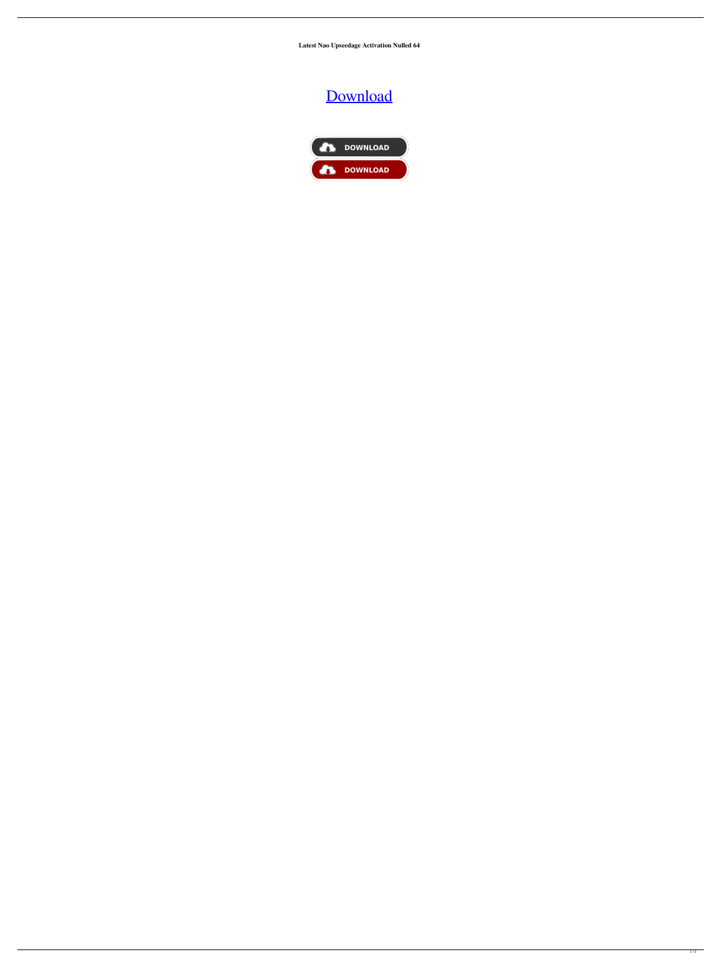**Latest Nao Upseedage Activation Nulled 64**

## [Download](http://evacdir.com/cookery/kefal/?lotus=/TmFvIFVwc2VlZGFnZSBEb3dubG9hZATmF/ZG93bmxvYWR8NUNRTVhoNVpYeDhNVFkxTWpjME1EZzJObng4TWpVM05IeDhLRTBwSUhKbFlXUXRZbXh2WnlCYlJtRnpkQ0JIUlU1ZA/maltodextrins/powys/)